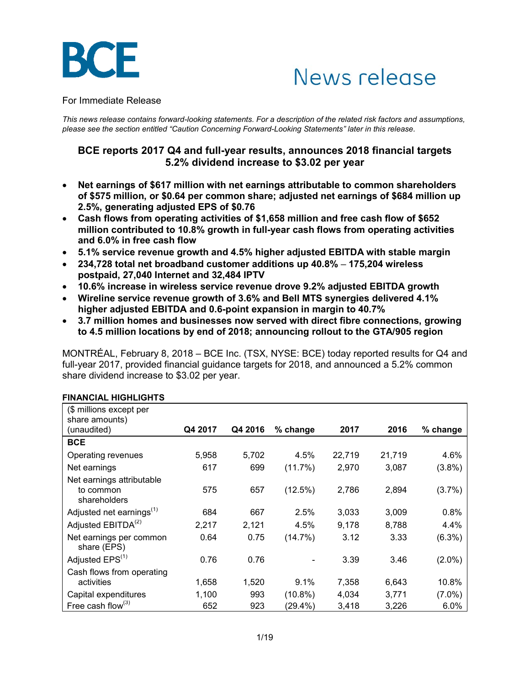



For Immediate Release

*This news release contains forward-looking statements. For a description of the related risk factors and assumptions, please see the section entitled "Caution Concerning Forward-Looking Statements" later in this release.*

# **BCE reports 2017 Q4 and full-year results, announces 2018 financial targets 5.2% dividend increase to \$3.02 per year**

- **Net earnings of \$617 million with net earnings attributable to common shareholders of \$575 million, or \$0.64 per common share; adjusted net earnings of \$684 million up 2.5%, generating adjusted EPS of \$0.76**
- **Cash flows from operating activities of \$1,658 million and free cash flow of \$652 million contributed to 10.8% growth in full-year cash flows from operating activities and 6.0% in free cash flow**
- **5.1% service revenue growth and 4.5% higher adjusted EBITDA with stable margin**
- **234,728 total net broadband customer additions up 40.8% – 175,204 wireless postpaid, 27,040 Internet and 32,484 IPTV**
- **10.6% increase in wireless service revenue drove 9.2% adjusted EBITDA growth**
- **Wireline service revenue growth of 3.6% and Bell MTS synergies delivered 4.1% higher adjusted EBITDA and 0.6-point expansion in margin to 40.7%**
- **3.7 million homes and businesses now served with direct fibre connections, growing to 4.5 million locations by end of 2018; announcing rollout to the GTA/905 region**

MONTRÉAL, February 8, 2018 – BCE Inc. (TSX, NYSE: BCE) today reported results for Q4 and full-year 2017, provided financial guidance targets for 2018, and announced a 5.2% common share dividend increase to \$3.02 per year.

| (\$ millions except per<br>share amounts)<br>(unaudited) | Q4 2017 | Q4 2016 | % change   | 2017   | 2016   | % change  |
|----------------------------------------------------------|---------|---------|------------|--------|--------|-----------|
| <b>BCE</b>                                               |         |         |            |        |        |           |
| Operating revenues                                       | 5,958   | 5,702   | 4.5%       | 22,719 | 21,719 | 4.6%      |
| Net earnings                                             | 617     | 699     | (11.7%)    | 2,970  | 3,087  | (3.8%)    |
| Net earnings attributable<br>to common<br>shareholders   | 575     | 657     | $(12.5\%)$ | 2,786  | 2,894  | (3.7%)    |
| Adjusted net earnings <sup>(1)</sup>                     | 684     | 667     | 2.5%       | 3,033  | 3,009  | 0.8%      |
| Adjusted EBITDA <sup>(2)</sup>                           | 2,217   | 2,121   | 4.5%       | 9,178  | 8,788  | 4.4%      |
| Net earnings per common<br>share (EPS)                   | 0.64    | 0.75    | $(14.7\%)$ | 3.12   | 3.33   | $(6.3\%)$ |
| Adjusted EPS <sup>(1)</sup>                              | 0.76    | 0.76    |            | 3.39   | 3.46   | $(2.0\%)$ |
| Cash flows from operating<br>activities                  | 1,658   | 1,520   | 9.1%       | 7,358  | 6,643  | 10.8%     |
| Capital expenditures                                     | 1,100   | 993     | $(10.8\%)$ | 4,034  | 3.771  | $(7.0\%)$ |
| Free cash flow $(3)$                                     | 652     | 923     | $(29.4\%)$ | 3,418  | 3,226  | 6.0%      |

#### **FINANCIAL HIGHLIGHTS**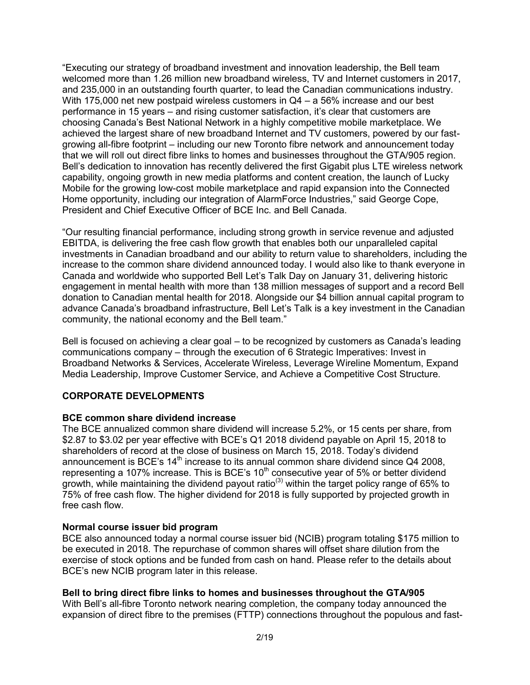"Executing our strategy of broadband investment and innovation leadership, the Bell team welcomed more than 1.26 million new broadband wireless, TV and Internet customers in 2017, and 235,000 in an outstanding fourth quarter, to lead the Canadian communications industry. With 175,000 net new postpaid wireless customers in  $Q4 - a$  56% increase and our best performance in 15 years – and rising customer satisfaction, it's clear that customers are choosing Canada's Best National Network in a highly competitive mobile marketplace. We achieved the largest share of new broadband Internet and TV customers, powered by our fastgrowing all-fibre footprint – including our new Toronto fibre network and announcement today that we will roll out direct fibre links to homes and businesses throughout the GTA/905 region. Bell's dedication to innovation has recently delivered the first Gigabit plus LTE wireless network capability, ongoing growth in new media platforms and content creation, the launch of Lucky Mobile for the growing low-cost mobile marketplace and rapid expansion into the Connected Home opportunity, including our integration of AlarmForce Industries," said George Cope, President and Chief Executive Officer of BCE Inc. and Bell Canada.

"Our resulting financial performance, including strong growth in service revenue and adjusted EBITDA, is delivering the free cash flow growth that enables both our unparalleled capital investments in Canadian broadband and our ability to return value to shareholders, including the increase to the common share dividend announced today. I would also like to thank everyone in Canada and worldwide who supported Bell Let's Talk Day on January 31, delivering historic engagement in mental health with more than 138 million messages of support and a record Bell donation to Canadian mental health for 2018. Alongside our \$4 billion annual capital program to advance Canada's broadband infrastructure, Bell Let's Talk is a key investment in the Canadian community, the national economy and the Bell team."

Bell is focused on achieving a clear goal – to be recognized by customers as Canada's leading communications company – through the execution of 6 Strategic Imperatives: Invest in Broadband Networks & Services, Accelerate Wireless, Leverage Wireline Momentum, Expand Media Leadership, Improve Customer Service, and Achieve a Competitive Cost Structure.

# **CORPORATE DEVELOPMENTS**

### **BCE common share dividend increase**

The BCE annualized common share dividend will increase 5.2%, or 15 cents per share, from \$2.87 to \$3.02 per year effective with BCE's Q1 2018 dividend payable on April 15, 2018 to shareholders of record at the close of business on March 15, 2018. Today's dividend announcement is BCE's 14<sup>th</sup> increase to its annual common share dividend since Q4 2008, representing a 107% increase. This is BCE's  $10<sup>th</sup>$  consecutive year of 5% or better dividend growth, while maintaining the dividend payout ratio<sup>(3)</sup> within the target policy range of 65% to 75% of free cash flow. The higher dividend for 2018 is fully supported by projected growth in free cash flow.

### **Normal course issuer bid program**

BCE also announced today a normal course issuer bid (NCIB) program totaling \$175 million to be executed in 2018. The repurchase of common shares will offset share dilution from the exercise of stock options and be funded from cash on hand. Please refer to the details about BCE's new NCIB program later in this release.

### **Bell to bring direct fibre links to homes and businesses throughout the GTA/905**

With Bell's all-fibre Toronto network nearing completion, the company today announced the expansion of direct fibre to the premises (FTTP) connections throughout the populous and fast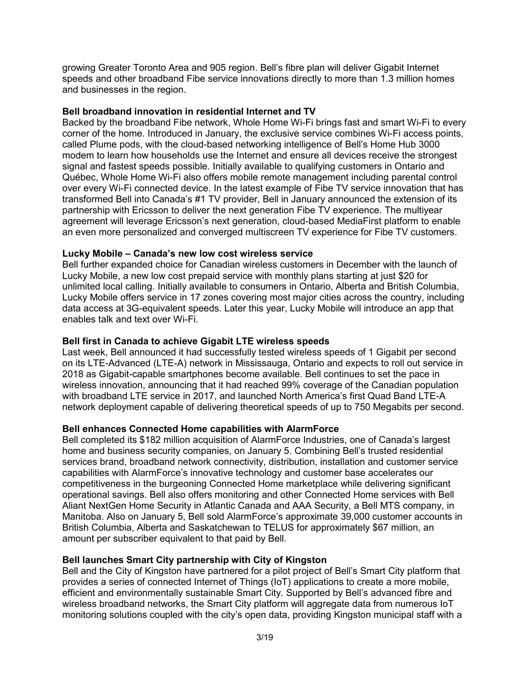growing Greater Toronto Area and 905 region. Bell's fibre plan will deliver Gigabit Internet speeds and other broadband Fibe service innovations directly to more than 1.3 million homes and businesses in the region.

#### **Bell broadband innovation in residential Internet and TV**

Backed by the broadband Fibe network, Whole Home Wi-Fi brings fast and smart Wi-Fi to every corner of the home. Introduced in January, the exclusive service combines Wi-Fi access points, called Plume pods, with the cloud-based networking intelligence of Bell's Home Hub 3000 modem to learn how households use the Internet and ensure all devices receive the strongest signal and fastest speeds possible. Initially available to qualifying customers in Ontario and Québec, Whole Home Wi-Fi also offers mobile remote management including parental control over every Wi-Fi connected device. In the latest example of Fibe TV service innovation that has transformed Bell into Canada's #1 TV provider, Bell in January announced the extension of its partnership with Ericsson to deliver the next generation Fibe TV experience. The multiyear agreement will leverage Ericsson's next generation, cloud-based MediaFirst platform to enable an even more personalized and converged multiscreen TV experience for Fibe TV customers.

### **Lucky Mobile – Canada's new low cost wireless service**

Bell further expanded choice for Canadian wireless customers in December with the launch of Lucky Mobile, a new low cost prepaid service with monthly plans starting at just \$20 for unlimited local calling. Initially available to consumers in Ontario, Alberta and British Columbia, Lucky Mobile offers service in 17 zones covering most major cities across the country, including data access at 3G-equivalent speeds. Later this year, Lucky Mobile will introduce an app that enables talk and text over Wi-Fi.

#### **Bell first in Canada to achieve Gigabit LTE wireless speeds**

Last week, Bell announced it had successfully tested wireless speeds of 1 Gigabit per second on its LTE-Advanced (LTE-A) network in Mississauga, Ontario and expects to roll out service in 2018 as Gigabit-capable smartphones become available. Bell continues to set the pace in wireless innovation, announcing that it had reached 99% coverage of the Canadian population with broadband LTE service in 2017, and launched North America's first Quad Band LTE-A network deployment capable of delivering theoretical speeds of up to 750 Megabits per second.

### **Bell enhances Connected Home capabilities with AlarmForce**

Bell completed its \$182 million acquisition of AlarmForce Industries, one of Canada's largest home and business security companies, on January 5. Combining Bell's trusted residential services brand, broadband network connectivity, distribution, installation and customer service capabilities with AlarmForce's innovative technology and customer base accelerates our competitiveness in the burgeoning Connected Home marketplace while delivering significant operational savings. Bell also offers monitoring and other Connected Home services with Bell Aliant NextGen Home Security in Atlantic Canada and AAA Security, a Bell MTS company, in Manitoba. Also on January 5, Bell sold AlarmForce's approximate 39,000 customer accounts in British Columbia, Alberta and Saskatchewan to TELUS for approximately \$67 million, an amount per subscriber equivalent to that paid by Bell.

#### **Bell launches Smart City partnership with City of Kingston**

Bell and the City of Kingston have partnered for a pilot project of Bell's Smart City platform that provides a series of connected Internet of Things (IoT) applications to create a more mobile, efficient and environmentally sustainable Smart City. Supported by Bell's advanced fibre and wireless broadband networks, the Smart City platform will aggregate data from numerous IoT monitoring solutions coupled with the city's open data, providing Kingston municipal staff with a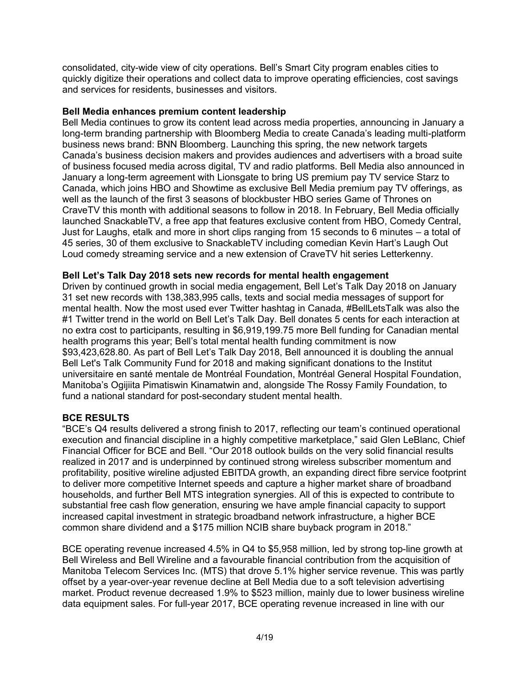consolidated, city-wide view of city operations. Bell's Smart City program enables cities to quickly digitize their operations and collect data to improve operating efficiencies, cost savings and services for residents, businesses and visitors.

#### **Bell Media enhances premium content leadership**

Bell Media continues to grow its content lead across media properties, announcing in January a long-term branding partnership with Bloomberg Media to create Canada's leading multi-platform business news brand: BNN Bloomberg. Launching this spring, the new network targets Canada's business decision makers and provides audiences and advertisers with a broad suite of business focused media across digital, TV and radio platforms. Bell Media also announced in January a long-term agreement with Lionsgate to bring US premium pay TV service Starz to Canada, which joins HBO and Showtime as exclusive Bell Media premium pay TV offerings, as well as the launch of the first 3 seasons of blockbuster HBO series Game of Thrones on CraveTV this month with additional seasons to follow in 2018. In February, Bell Media officially launched SnackableTV, a free app that features exclusive content from HBO, Comedy Central, Just for Laughs, etalk and more in short clips ranging from 15 seconds to 6 minutes – a total of 45 series, 30 of them exclusive to SnackableTV including comedian Kevin Hart's Laugh Out Loud comedy streaming service and a new extension of CraveTV hit series Letterkenny.

#### **Bell Let's Talk Day 2018 sets new records for mental health engagement**

Driven by continued growth in social media engagement, Bell Let's Talk Day 2018 on January 31 set new records with 138,383,995 calls, texts and social media messages of support for mental health. Now the most used ever Twitter hashtag in Canada, #BellLetsTalk was also the #1 Twitter trend in the world on Bell Let's Talk Day. Bell donates 5 cents for each interaction at no extra cost to participants, resulting in \$6,919,199.75 more Bell funding for Canadian mental health programs this year; Bell's total mental health funding commitment is now \$93,423,628.80. As part of Bell Let's Talk Day 2018, Bell announced it is doubling the annual Bell Let's Talk Community Fund for 2018 and making significant donations to the Institut universitaire en santé mentale de Montréal Foundation, Montréal General Hospital Foundation, Manitoba's Ogijiita Pimatiswin Kinamatwin and, alongside The Rossy Family Foundation, to fund a national standard for post-secondary student mental health.

#### **BCE RESULTS**

"BCE's Q4 results delivered a strong finish to 2017, reflecting our team's continued operational execution and financial discipline in a highly competitive marketplace," said Glen LeBlanc, Chief Financial Officer for BCE and Bell. "Our 2018 outlook builds on the very solid financial results realized in 2017 and is underpinned by continued strong wireless subscriber momentum and profitability, positive wireline adjusted EBITDA growth, an expanding direct fibre service footprint to deliver more competitive Internet speeds and capture a higher market share of broadband households, and further Bell MTS integration synergies. All of this is expected to contribute to substantial free cash flow generation, ensuring we have ample financial capacity to support increased capital investment in strategic broadband network infrastructure, a higher BCE common share dividend and a \$175 million NCIB share buyback program in 2018."

BCE operating revenue increased 4.5% in Q4 to \$5,958 million, led by strong top-line growth at Bell Wireless and Bell Wireline and a favourable financial contribution from the acquisition of Manitoba Telecom Services Inc. (MTS) that drove 5.1% higher service revenue. This was partly offset by a year-over-year revenue decline at Bell Media due to a soft television advertising market. Product revenue decreased 1.9% to \$523 million, mainly due to lower business wireline data equipment sales. For full-year 2017, BCE operating revenue increased in line with our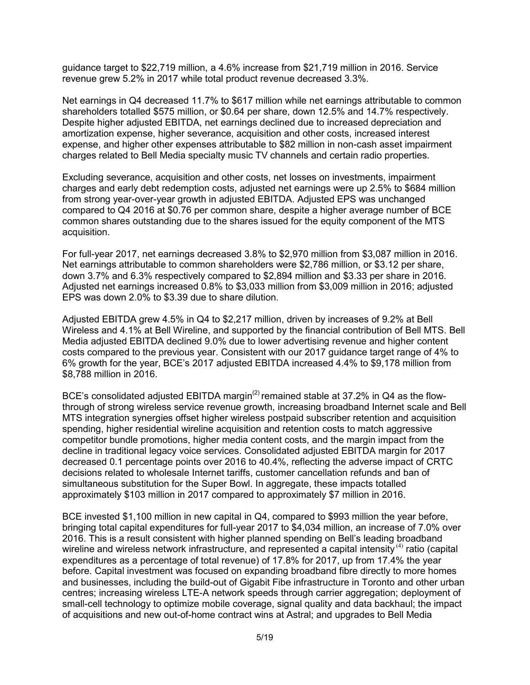guidance target to \$22,719 million, a 4.6% increase from \$21,719 million in 2016. Service revenue grew 5.2% in 2017 while total product revenue decreased 3.3%.

Net earnings in Q4 decreased 11.7% to \$617 million while net earnings attributable to common shareholders totalled \$575 million, or \$0.64 per share, down 12.5% and 14.7% respectively. Despite higher adjusted EBITDA, net earnings declined due to increased depreciation and amortization expense, higher severance, acquisition and other costs, increased interest expense, and higher other expenses attributable to \$82 million in non-cash asset impairment charges related to Bell Media specialty music TV channels and certain radio properties.

Excluding severance, acquisition and other costs, net losses on investments, impairment charges and early debt redemption costs, adjusted net earnings were up 2.5% to \$684 million from strong year-over-year growth in adjusted EBITDA. Adjusted EPS was unchanged compared to Q4 2016 at \$0.76 per common share, despite a higher average number of BCE common shares outstanding due to the shares issued for the equity component of the MTS acquisition.

For full-year 2017, net earnings decreased 3.8% to \$2,970 million from \$3,087 million in 2016. Net earnings attributable to common shareholders were \$2,786 million, or \$3.12 per share, down 3.7% and 6.3% respectively compared to \$2,894 million and \$3.33 per share in 2016. Adjusted net earnings increased 0.8% to \$3,033 million from \$3,009 million in 2016; adjusted EPS was down 2.0% to \$3.39 due to share dilution.

Adjusted EBITDA grew 4.5% in Q4 to \$2,217 million, driven by increases of 9.2% at Bell Wireless and 4.1% at Bell Wireline, and supported by the financial contribution of Bell MTS. Bell Media adjusted EBITDA declined 9.0% due to lower advertising revenue and higher content costs compared to the previous year. Consistent with our 2017 guidance target range of 4% to 6% growth for the year, BCE's 2017 adjusted EBITDA increased 4.4% to \$9,178 million from \$8,788 million in 2016.

BCE's consolidated adjusted EBITDA margin $^{(2)}$ remained stable at 37.2% in Q4 as the flowthrough of strong wireless service revenue growth, increasing broadband Internet scale and Bell MTS integration synergies offset higher wireless postpaid subscriber retention and acquisition spending, higher residential wireline acquisition and retention costs to match aggressive competitor bundle promotions, higher media content costs, and the margin impact from the decline in traditional legacy voice services. Consolidated adjusted EBITDA margin for 2017 decreased 0.1 percentage points over 2016 to 40.4%, reflecting the adverse impact of CRTC decisions related to wholesale Internet tariffs, customer cancellation refunds and ban of simultaneous substitution for the Super Bowl. In aggregate, these impacts totalled approximately \$103 million in 2017 compared to approximately \$7 million in 2016.

BCE invested \$1,100 million in new capital in Q4, compared to \$993 million the year before, bringing total capital expenditures for full-year 2017 to \$4,034 million, an increase of 7.0% over 2016. This is a result consistent with higher planned spending on Bell's leading broadband wireline and wireless network infrastructure, and represented a capital intensity<sup>(4)</sup> ratio (capital expenditures as a percentage of total revenue) of 17.8% for 2017, up from 17.4% the year before. Capital investment was focused on expanding broadband fibre directly to more homes and businesses, including the build-out of Gigabit Fibe infrastructure in Toronto and other urban centres; increasing wireless LTE-A network speeds through carrier aggregation; deployment of small-cell technology to optimize mobile coverage, signal quality and data backhaul; the impact of acquisitions and new out-of-home contract wins at Astral; and upgrades to Bell Media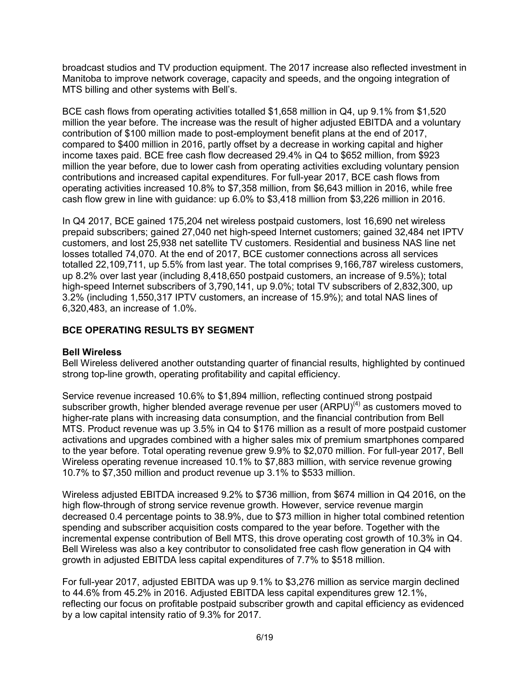broadcast studios and TV production equipment. The 2017 increase also reflected investment in Manitoba to improve network coverage, capacity and speeds, and the ongoing integration of MTS billing and other systems with Bell's.

BCE cash flows from operating activities totalled \$1,658 million in Q4, up 9.1% from \$1,520 million the year before. The increase was the result of higher adjusted EBITDA and a voluntary contribution of \$100 million made to post-employment benefit plans at the end of 2017, compared to \$400 million in 2016, partly offset by a decrease in working capital and higher income taxes paid. BCE free cash flow decreased 29.4% in Q4 to \$652 million, from \$923 million the year before, due to lower cash from operating activities excluding voluntary pension contributions and increased capital expenditures. For full-year 2017, BCE cash flows from operating activities increased 10.8% to \$7,358 million, from \$6,643 million in 2016, while free cash flow grew in line with guidance: up 6.0% to \$3,418 million from \$3,226 million in 2016.

In Q4 2017, BCE gained 175,204 net wireless postpaid customers, lost 16,690 net wireless prepaid subscribers; gained 27,040 net high-speed Internet customers; gained 32,484 net IPTV customers, and lost 25,938 net satellite TV customers. Residential and business NAS line net losses totalled 74,070. At the end of 2017, BCE customer connections across all services totalled 22,109,711, up 5.5% from last year. The total comprises 9,166,787 wireless customers, up 8.2% over last year (including 8,418,650 postpaid customers, an increase of 9.5%); total high-speed Internet subscribers of 3,790,141, up 9.0%; total TV subscribers of 2,832,300, up 3.2% (including 1,550,317 IPTV customers, an increase of 15.9%); and total NAS lines of 6,320,483, an increase of 1.0%.

# **BCE OPERATING RESULTS BY SEGMENT**

### **Bell Wireless**

Bell Wireless delivered another outstanding quarter of financial results, highlighted by continued strong top-line growth, operating profitability and capital efficiency.

Service revenue increased 10.6% to \$1,894 million, reflecting continued strong postpaid subscriber growth, higher blended average revenue per user  $(ARPU)^{(4)}$  as customers moved to higher-rate plans with increasing data consumption, and the financial contribution from Bell MTS. Product revenue was up 3.5% in Q4 to \$176 million as a result of more postpaid customer activations and upgrades combined with a higher sales mix of premium smartphones compared to the year before. Total operating revenue grew 9.9% to \$2,070 million. For full-year 2017, Bell Wireless operating revenue increased 10.1% to \$7,883 million, with service revenue growing 10.7% to \$7,350 million and product revenue up 3.1% to \$533 million.

Wireless adjusted EBITDA increased 9.2% to \$736 million, from \$674 million in Q4 2016, on the high flow-through of strong service revenue growth. However, service revenue margin decreased 0.4 percentage points to 38.9%, due to \$73 million in higher total combined retention spending and subscriber acquisition costs compared to the year before. Together with the incremental expense contribution of Bell MTS, this drove operating cost growth of 10.3% in Q4. Bell Wireless was also a key contributor to consolidated free cash flow generation in Q4 with growth in adjusted EBITDA less capital expenditures of 7.7% to \$518 million.

For full-year 2017, adjusted EBITDA was up 9.1% to \$3,276 million as service margin declined to 44.6% from 45.2% in 2016. Adjusted EBITDA less capital expenditures grew 12.1%, reflecting our focus on profitable postpaid subscriber growth and capital efficiency as evidenced by a low capital intensity ratio of 9.3% for 2017.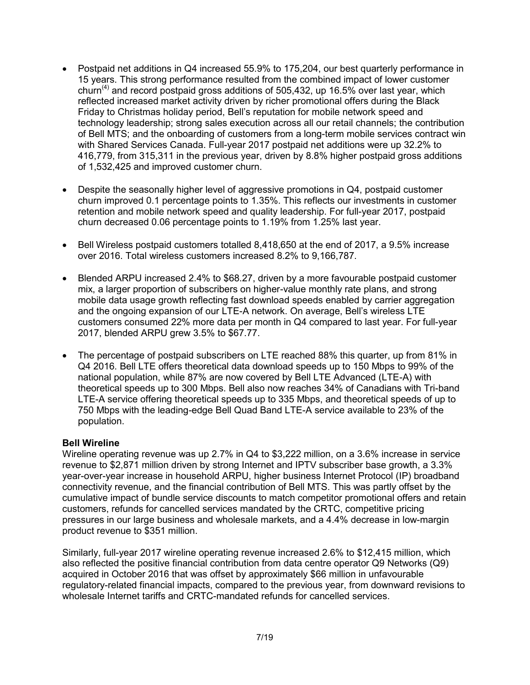- Postpaid net additions in Q4 increased 55.9% to 175,204, our best quarterly performance in 15 years. This strong performance resulted from the combined impact of lower customer churn<sup>(4)</sup> and record postpaid gross additions of 505,432, up 16.5% over last year, which reflected increased market activity driven by richer promotional offers during the Black Friday to Christmas holiday period, Bell's reputation for mobile network speed and technology leadership; strong sales execution across all our retail channels; the contribution of Bell MTS; and the onboarding of customers from a long-term mobile services contract win with Shared Services Canada. Full-year 2017 postpaid net additions were up 32.2% to 416,779, from 315,311 in the previous year, driven by 8.8% higher postpaid gross additions of 1,532,425 and improved customer churn.
- Despite the seasonally higher level of aggressive promotions in Q4, postpaid customer churn improved 0.1 percentage points to 1.35%. This reflects our investments in customer retention and mobile network speed and quality leadership. For full-year 2017, postpaid churn decreased 0.06 percentage points to 1.19% from 1.25% last year.
- Bell Wireless postpaid customers totalled 8,418,650 at the end of 2017, a 9.5% increase over 2016. Total wireless customers increased 8.2% to 9,166,787.
- Blended ARPU increased 2.4% to \$68.27, driven by a more favourable postpaid customer mix, a larger proportion of subscribers on higher-value monthly rate plans, and strong mobile data usage growth reflecting fast download speeds enabled by carrier aggregation and the ongoing expansion of our LTE-A network. On average, Bell's wireless LTE customers consumed 22% more data per month in Q4 compared to last year. For full-year 2017, blended ARPU grew 3.5% to \$67.77.
- The percentage of postpaid subscribers on LTE reached 88% this quarter, up from 81% in Q4 2016. Bell LTE offers theoretical data download speeds up to 150 Mbps to 99% of the national population, while 87% are now covered by Bell LTE Advanced (LTE-A) with theoretical speeds up to 300 Mbps. Bell also now reaches 34% of Canadians with Tri-band LTE-A service offering theoretical speeds up to 335 Mbps, and theoretical speeds of up to 750 Mbps with the leading-edge Bell Quad Band LTE-A service available to 23% of the population.

### **Bell Wireline**

Wireline operating revenue was up 2.7% in Q4 to \$3,222 million, on a 3.6% increase in service revenue to \$2,871 million driven by strong Internet and IPTV subscriber base growth, a 3.3% year-over-year increase in household ARPU, higher business Internet Protocol (IP) broadband connectivity revenue, and the financial contribution of Bell MTS. This was partly offset by the cumulative impact of bundle service discounts to match competitor promotional offers and retain customers, refunds for cancelled services mandated by the CRTC, competitive pricing pressures in our large business and wholesale markets, and a 4.4% decrease in low-margin product revenue to \$351 million.

Similarly, full-year 2017 wireline operating revenue increased 2.6% to \$12,415 million, which also reflected the positive financial contribution from data centre operator Q9 Networks (Q9) acquired in October 2016 that was offset by approximately \$66 million in unfavourable regulatory-related financial impacts, compared to the previous year, from downward revisions to wholesale Internet tariffs and CRTC-mandated refunds for cancelled services.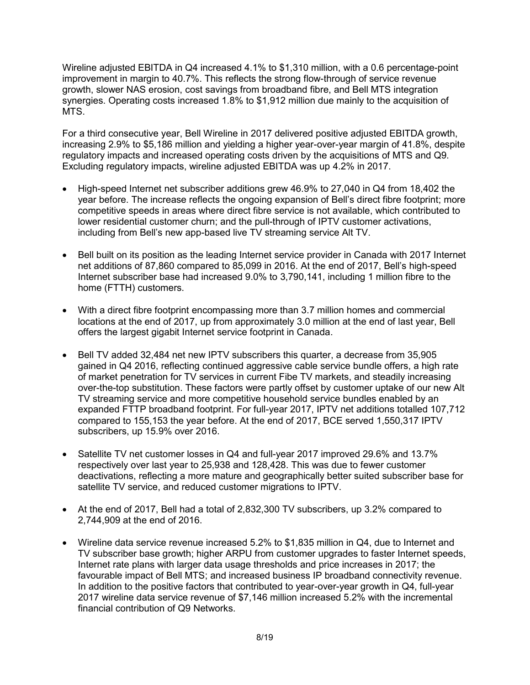Wireline adjusted EBITDA in Q4 increased 4.1% to \$1,310 million, with a 0.6 percentage-point improvement in margin to 40.7%. This reflects the strong flow-through of service revenue growth, slower NAS erosion, cost savings from broadband fibre, and Bell MTS integration synergies. Operating costs increased 1.8% to \$1,912 million due mainly to the acquisition of MTS.

For a third consecutive year, Bell Wireline in 2017 delivered positive adjusted EBITDA growth, increasing 2.9% to \$5,186 million and yielding a higher year-over-year margin of 41.8%, despite regulatory impacts and increased operating costs driven by the acquisitions of MTS and Q9. Excluding regulatory impacts, wireline adjusted EBITDA was up 4.2% in 2017.

- High-speed Internet net subscriber additions grew 46.9% to 27,040 in Q4 from 18,402 the year before. The increase reflects the ongoing expansion of Bell's direct fibre footprint; more competitive speeds in areas where direct fibre service is not available, which contributed to lower residential customer churn; and the pull-through of IPTV customer activations, including from Bell's new app-based live TV streaming service Alt TV.
- Bell built on its position as the leading Internet service provider in Canada with 2017 Internet net additions of 87,860 compared to 85,099 in 2016. At the end of 2017, Bell's high-speed Internet subscriber base had increased 9.0% to 3,790,141, including 1 million fibre to the home (FTTH) customers.
- With a direct fibre footprint encompassing more than 3.7 million homes and commercial locations at the end of 2017, up from approximately 3.0 million at the end of last year, Bell offers the largest gigabit Internet service footprint in Canada.
- Bell TV added 32,484 net new IPTV subscribers this quarter, a decrease from 35,905 gained in Q4 2016, reflecting continued aggressive cable service bundle offers, a high rate of market penetration for TV services in current Fibe TV markets, and steadily increasing over-the-top substitution. These factors were partly offset by customer uptake of our new Alt TV streaming service and more competitive household service bundles enabled by an expanded FTTP broadband footprint. For full-year 2017, IPTV net additions totalled 107,712 compared to 155,153 the year before. At the end of 2017, BCE served 1,550,317 IPTV subscribers, up 15.9% over 2016.
- Satellite TV net customer losses in Q4 and full-year 2017 improved 29.6% and 13.7% respectively over last year to 25,938 and 128,428. This was due to fewer customer deactivations, reflecting a more mature and geographically better suited subscriber base for satellite TV service, and reduced customer migrations to IPTV.
- At the end of 2017, Bell had a total of 2,832,300 TV subscribers, up 3.2% compared to 2,744,909 at the end of 2016.
- Wireline data service revenue increased 5.2% to \$1,835 million in Q4, due to Internet and TV subscriber base growth; higher ARPU from customer upgrades to faster Internet speeds, Internet rate plans with larger data usage thresholds and price increases in 2017; the favourable impact of Bell MTS; and increased business IP broadband connectivity revenue. In addition to the positive factors that contributed to year-over-year growth in Q4, full-year 2017 wireline data service revenue of \$7,146 million increased 5.2% with the incremental financial contribution of Q9 Networks.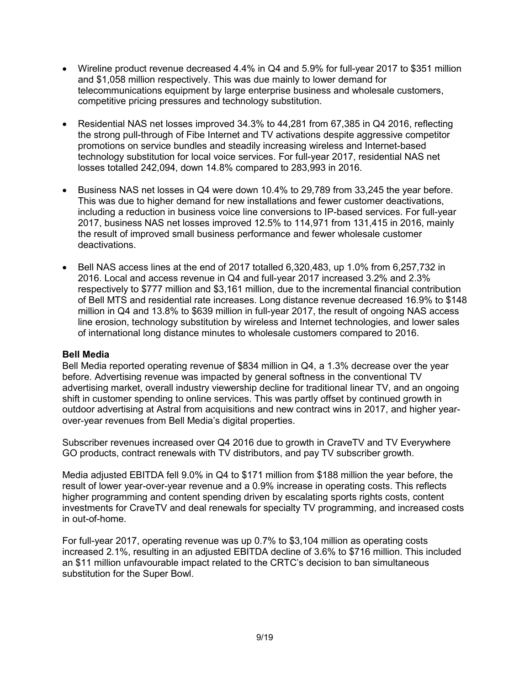- Wireline product revenue decreased 4.4% in Q4 and 5.9% for full-year 2017 to \$351 million and \$1,058 million respectively. This was due mainly to lower demand for telecommunications equipment by large enterprise business and wholesale customers, competitive pricing pressures and technology substitution.
- Residential NAS net losses improved 34.3% to 44,281 from 67,385 in Q4 2016, reflecting the strong pull-through of Fibe Internet and TV activations despite aggressive competitor promotions on service bundles and steadily increasing wireless and Internet-based technology substitution for local voice services. For full-year 2017, residential NAS net losses totalled 242,094, down 14.8% compared to 283,993 in 2016.
- Business NAS net losses in Q4 were down 10.4% to 29,789 from 33,245 the year before. This was due to higher demand for new installations and fewer customer deactivations, including a reduction in business voice line conversions to IP-based services. For full-year 2017, business NAS net losses improved 12.5% to 114,971 from 131,415 in 2016, mainly the result of improved small business performance and fewer wholesale customer deactivations.
- $\bullet$  Bell NAS access lines at the end of 2017 totalled 6,320,483, up 1.0% from 6,257,732 in 2016. Local and access revenue in Q4 and full-year 2017 increased 3.2% and 2.3% respectively to \$777 million and \$3,161 million, due to the incremental financial contribution of Bell MTS and residential rate increases. Long distance revenue decreased 16.9% to \$148 million in Q4 and 13.8% to \$639 million in full-year 2017, the result of ongoing NAS access line erosion, technology substitution by wireless and Internet technologies, and lower sales of international long distance minutes to wholesale customers compared to 2016.

### **Bell Media**

Bell Media reported operating revenue of \$834 million in Q4, a 1.3% decrease over the year before. Advertising revenue was impacted by general softness in the conventional TV advertising market, overall industry viewership decline for traditional linear TV, and an ongoing shift in customer spending to online services. This was partly offset by continued growth in outdoor advertising at Astral from acquisitions and new contract wins in 2017, and higher yearover-year revenues from Bell Media's digital properties.

Subscriber revenues increased over Q4 2016 due to growth in CraveTV and TV Everywhere GO products, contract renewals with TV distributors, and pay TV subscriber growth.

Media adjusted EBITDA fell 9.0% in Q4 to \$171 million from \$188 million the year before, the result of lower year-over-year revenue and a 0.9% increase in operating costs. This reflects higher programming and content spending driven by escalating sports rights costs, content investments for CraveTV and deal renewals for specialty TV programming, and increased costs in out-of-home.

For full-year 2017, operating revenue was up 0.7% to \$3,104 million as operating costs increased 2.1%, resulting in an adjusted EBITDA decline of 3.6% to \$716 million. This included an \$11 million unfavourable impact related to the CRTC's decision to ban simultaneous substitution for the Super Bowl.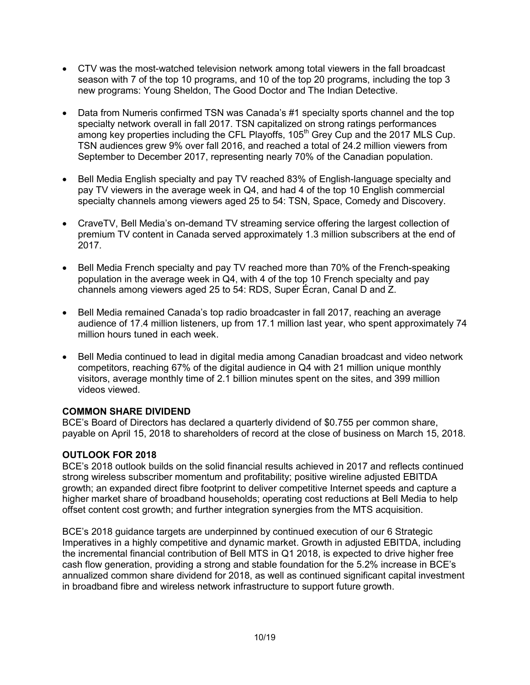- CTV was the most-watched television network among total viewers in the fall broadcast season with 7 of the top 10 programs, and 10 of the top 20 programs, including the top 3 new programs: Young Sheldon, The Good Doctor and The Indian Detective.
- Data from Numeris confirmed TSN was Canada's #1 specialty sports channel and the top specialty network overall in fall 2017. TSN capitalized on strong ratings performances among key properties including the CFL Playoffs, 105<sup>th</sup> Grey Cup and the 2017 MLS Cup. TSN audiences grew 9% over fall 2016, and reached a total of 24.2 million viewers from September to December 2017, representing nearly 70% of the Canadian population.
- Bell Media English specialty and pay TV reached 83% of English-language specialty and pay TV viewers in the average week in Q4, and had 4 of the top 10 English commercial specialty channels among viewers aged 25 to 54: TSN, Space, Comedy and Discovery.
- CraveTV, Bell Media's on-demand TV streaming service offering the largest collection of premium TV content in Canada served approximately 1.3 million subscribers at the end of 2017.
- Bell Media French specialty and pay TV reached more than 70% of the French-speaking population in the average week in Q4, with 4 of the top 10 French specialty and pay channels among viewers aged 25 to 54: RDS, Super Écran, Canal D and Z.
- Bell Media remained Canada's top radio broadcaster in fall 2017, reaching an average audience of 17.4 million listeners, up from 17.1 million last year, who spent approximately 74 million hours tuned in each week.
- Bell Media continued to lead in digital media among Canadian broadcast and video network competitors, reaching 67% of the digital audience in Q4 with 21 million unique monthly visitors, average monthly time of 2.1 billion minutes spent on the sites, and 399 million videos viewed.

### **COMMON SHARE DIVIDEND**

BCE's Board of Directors has declared a quarterly dividend of \$0.755 per common share, payable on April 15, 2018 to shareholders of record at the close of business on March 15, 2018.

### **OUTLOOK FOR 2018**

BCE's 2018 outlook builds on the solid financial results achieved in 2017 and reflects continued strong wireless subscriber momentum and profitability; positive wireline adjusted EBITDA growth; an expanded direct fibre footprint to deliver competitive Internet speeds and capture a higher market share of broadband households; operating cost reductions at Bell Media to help offset content cost growth; and further integration synergies from the MTS acquisition.

BCE's 2018 guidance targets are underpinned by continued execution of our 6 Strategic Imperatives in a highly competitive and dynamic market. Growth in adjusted EBITDA, including the incremental financial contribution of Bell MTS in Q1 2018, is expected to drive higher free cash flow generation, providing a strong and stable foundation for the 5.2% increase in BCE's annualized common share dividend for 2018, as well as continued significant capital investment in broadband fibre and wireless network infrastructure to support future growth.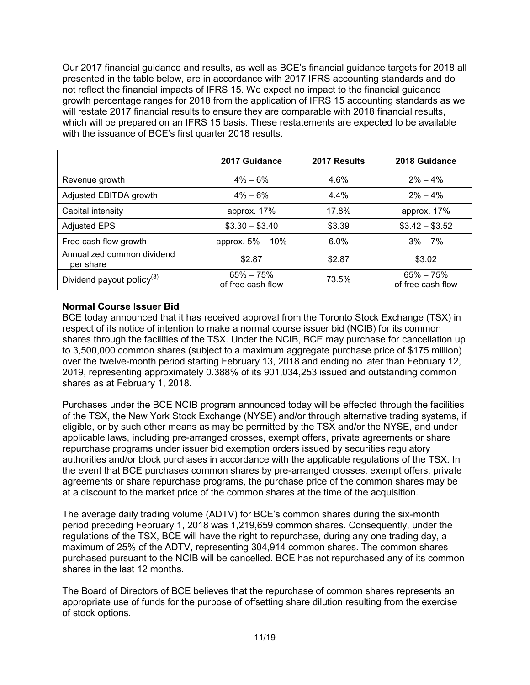Our 2017 financial guidance and results, as well as BCE's financial guidance targets for 2018 all presented in the table below, are in accordance with 2017 IFRS accounting standards and do not reflect the financial impacts of IFRS 15. We expect no impact to the financial guidance growth percentage ranges for 2018 from the application of IFRS 15 accounting standards as we will restate 2017 financial results to ensure they are comparable with 2018 financial results, which will be prepared on an IFRS 15 basis. These restatements are expected to be available with the issuance of BCE's first quarter 2018 results.

|                                         | 2017 Guidance                      | 2017 Results | 2018 Guidance                      |  |
|-----------------------------------------|------------------------------------|--------------|------------------------------------|--|
| Revenue growth                          | $4\% - 6\%$                        | 4.6%         | $2\% - 4\%$                        |  |
| Adjusted EBITDA growth                  | $4\% - 6\%$                        | 4.4%         | $2\% - 4\%$                        |  |
| Capital intensity                       | approx. 17%                        | 17.8%        | approx. 17%                        |  |
| <b>Adjusted EPS</b>                     | $$3.30 - $3.40$                    | \$3.39       | $$3.42 - $3.52$                    |  |
| Free cash flow growth                   | approx. 5% - 10%                   | $6.0\%$      | $3\% - 7\%$                        |  |
| Annualized common dividend<br>per share | \$2.87                             | \$2.87       | \$3.02                             |  |
| Dividend payout policy <sup>(3)</sup>   | $65\% - 75\%$<br>of free cash flow | 73.5%        | $65\% - 75\%$<br>of free cash flow |  |

## **Normal Course Issuer Bid**

BCE today announced that it has received approval from the Toronto Stock Exchange (TSX) in respect of its notice of intention to make a normal course issuer bid (NCIB) for its common shares through the facilities of the TSX. Under the NCIB, BCE may purchase for cancellation up to 3,500,000 common shares (subject to a maximum aggregate purchase price of \$175 million) over the twelve-month period starting February 13, 2018 and ending no later than February 12, 2019, representing approximately 0.388% of its 901,034,253 issued and outstanding common shares as at February 1, 2018.

Purchases under the BCE NCIB program announced today will be effected through the facilities of the TSX, the New York Stock Exchange (NYSE) and/or through alternative trading systems, if eligible, or by such other means as may be permitted by the TSX and/or the NYSE, and under applicable laws, including pre-arranged crosses, exempt offers, private agreements or share repurchase programs under issuer bid exemption orders issued by securities regulatory authorities and/or block purchases in accordance with the applicable regulations of the TSX. In the event that BCE purchases common shares by pre-arranged crosses, exempt offers, private agreements or share repurchase programs, the purchase price of the common shares may be at a discount to the market price of the common shares at the time of the acquisition.

The average daily trading volume (ADTV) for BCE's common shares during the six-month period preceding February 1, 2018 was 1,219,659 common shares. Consequently, under the regulations of the TSX, BCE will have the right to repurchase, during any one trading day, a maximum of 25% of the ADTV, representing 304,914 common shares. The common shares purchased pursuant to the NCIB will be cancelled. BCE has not repurchased any of its common shares in the last 12 months.

The Board of Directors of BCE believes that the repurchase of common shares represents an appropriate use of funds for the purpose of offsetting share dilution resulting from the exercise of stock options.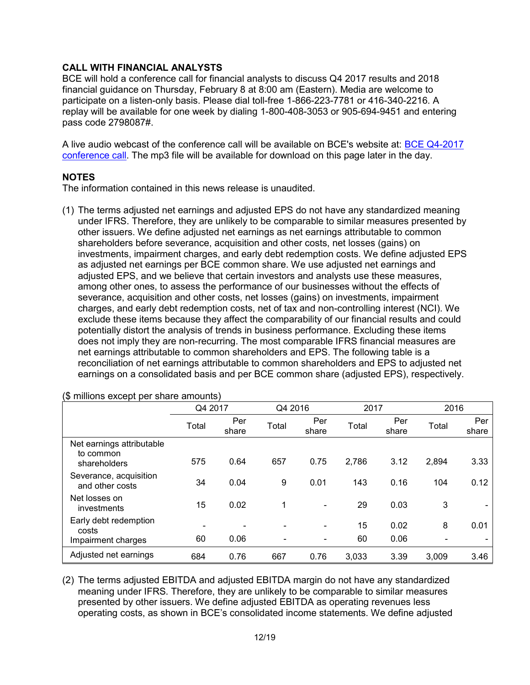### **CALL WITH FINANCIAL ANALYSTS**

BCE will hold a conference call for financial analysts to discuss Q4 2017 results and 2018 financial guidance on Thursday, February 8 at 8:00 am (Eastern). Media are welcome to participate on a listen-only basis. Please dial toll-free 1-866-223-7781 or 416-340-2216. A replay will be available for one week by dialing 1-800-408-3053 or 905-694-9451 and entering pass code 2798087#.

A live audio webcast of the conference call will be available on BCE's website at: [BCE Q4-2017](http://www.bce.ca/investors/investorevents/all/show/BCE-Q4-2017-results-and-2018-guidance-conference-call)  [conference call.](http://www.bce.ca/investors/investorevents/all/show/BCE-Q4-2017-results-and-2018-guidance-conference-call) The mp3 file will be available for download on this page later in the day.

## **NOTES**

The information contained in this news release is unaudited.

(1) The terms adjusted net earnings and adjusted EPS do not have any standardized meaning under IFRS. Therefore, they are unlikely to be comparable to similar measures presented by other issuers. We define adjusted net earnings as net earnings attributable to common shareholders before severance, acquisition and other costs, net losses (gains) on investments, impairment charges, and early debt redemption costs. We define adjusted EPS as adjusted net earnings per BCE common share. We use adjusted net earnings and adjusted EPS, and we believe that certain investors and analysts use these measures, among other ones, to assess the performance of our businesses without the effects of severance, acquisition and other costs, net losses (gains) on investments, impairment charges, and early debt redemption costs, net of tax and non-controlling interest (NCI). We exclude these items because they affect the comparability of our financial results and could potentially distort the analysis of trends in business performance. Excluding these items does not imply they are non-recurring. The most comparable IFRS financial measures are net earnings attributable to common shareholders and EPS. The following table is a reconciliation of net earnings attributable to common shareholders and EPS to adjusted net earnings on a consolidated basis and per BCE common share (adjusted EPS), respectively.

|                                           | Q4 2017 |              | Q4 2016 |                | 2017  |              | 2016  |              |
|-------------------------------------------|---------|--------------|---------|----------------|-------|--------------|-------|--------------|
|                                           | Total   | Per<br>share | Total   | Per<br>share   | Total | Per<br>share | Total | Per<br>share |
| Net earnings attributable<br>to common    |         |              |         |                |       |              |       |              |
| shareholders                              | 575     | 0.64         | 657     | 0.75           | 2,786 | 3.12         | 2,894 | 3.33         |
| Severance, acquisition<br>and other costs | 34      | 0.04         | 9       | 0.01           | 143   | 0.16         | 104   | 0.12         |
| Net losses on<br>investments              | 15      | 0.02         | 1       | $\blacksquare$ | 29    | 0.03         | 3     |              |
| Early debt redemption<br>costs            | ٠       |              |         | $\blacksquare$ | 15    | 0.02         | 8     | 0.01         |
| Impairment charges                        | 60      | 0.06         | -       | -              | 60    | 0.06         |       |              |
| Adjusted net earnings                     | 684     | 0.76         | 667     | 0.76           | 3,033 | 3.39         | 3,009 | 3.46         |

(\$ millions except per share amounts)

(2) The terms adjusted EBITDA and adjusted EBITDA margin do not have any standardized meaning under IFRS. Therefore, they are unlikely to be comparable to similar measures presented by other issuers. We define adjusted EBITDA as operating revenues less operating costs, as shown in BCE's consolidated income statements. We define adjusted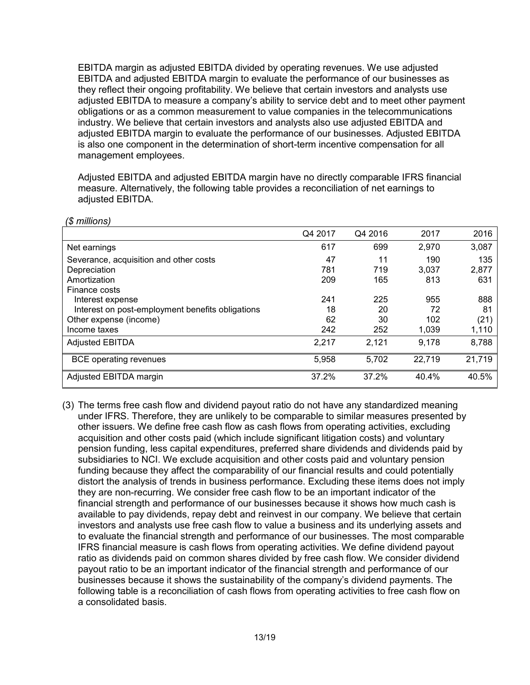EBITDA margin as adjusted EBITDA divided by operating revenues. We use adjusted EBITDA and adjusted EBITDA margin to evaluate the performance of our businesses as they reflect their ongoing profitability. We believe that certain investors and analysts use adjusted EBITDA to measure a company's ability to service debt and to meet other payment obligations or as a common measurement to value companies in the telecommunications industry. We believe that certain investors and analysts also use adjusted EBITDA and adjusted EBITDA margin to evaluate the performance of our businesses. Adjusted EBITDA is also one component in the determination of short-term incentive compensation for all management employees.

Adjusted EBITDA and adjusted EBITDA margin have no directly comparable IFRS financial

| .                                                |         |         |        |        |
|--------------------------------------------------|---------|---------|--------|--------|
|                                                  | Q4 2017 | Q4 2016 | 2017   | 2016   |
| Net earnings                                     | 617     | 699     | 2,970  | 3,087  |
| Severance, acquisition and other costs           | 47      | 11      | 190    | 135    |
| Depreciation                                     | 781     | 719     | 3,037  | 2,877  |
| Amortization                                     | 209     | 165     | 813    | 631    |
| Finance costs                                    |         |         |        |        |
| Interest expense                                 | 241     | 225     | 955    | 888    |
| Interest on post-employment benefits obligations | 18      | 20      | 72     | 81     |
| Other expense (income)                           | 62      | 30      | 102    | (21)   |
| Income taxes                                     | 242     | 252     | 1,039  | 1,110  |
| <b>Adjusted EBITDA</b>                           | 2,217   | 2,121   | 9,178  | 8,788  |
| <b>BCE</b> operating revenues                    | 5,958   | 5,702   | 22,719 | 21,719 |
| Adjusted EBITDA margin                           | 37.2%   | 37.2%   | 40.4%  | 40.5%  |

measure. Alternatively, the following table provides a reconciliation of net earnings to adjusted EBITDA.

*(\$ millions)*

(3) The terms free cash flow and dividend payout ratio do not have any standardized meaning under IFRS. Therefore, they are unlikely to be comparable to similar measures presented by other issuers. We define free cash flow as cash flows from operating activities, excluding acquisition and other costs paid (which include significant litigation costs) and voluntary pension funding, less capital expenditures, preferred share dividends and dividends paid by subsidiaries to NCI. We exclude acquisition and other costs paid and voluntary pension funding because they affect the comparability of our financial results and could potentially distort the analysis of trends in business performance. Excluding these items does not imply they are non-recurring. We consider free cash flow to be an important indicator of the financial strength and performance of our businesses because it shows how much cash is available to pay dividends, repay debt and reinvest in our company. We believe that certain investors and analysts use free cash flow to value a business and its underlying assets and to evaluate the financial strength and performance of our businesses. The most comparable IFRS financial measure is cash flows from operating activities. We define dividend payout ratio as dividends paid on common shares divided by free cash flow. We consider dividend payout ratio to be an important indicator of the financial strength and performance of our businesses because it shows the sustainability of the company's dividend payments. The following table is a reconciliation of cash flows from operating activities to free cash flow on a consolidated basis.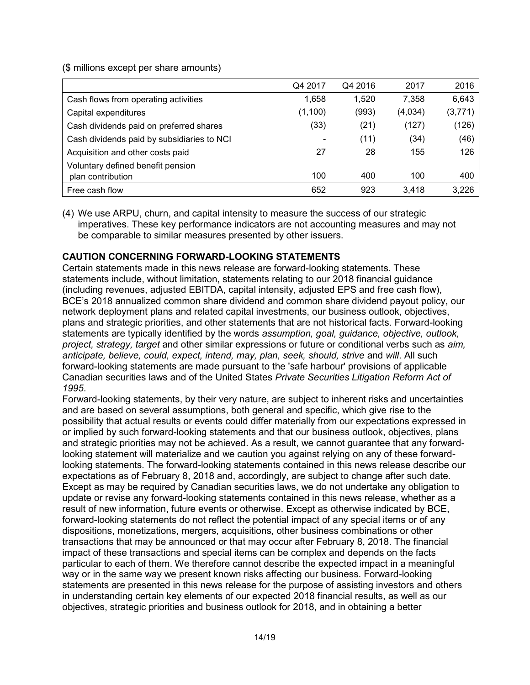(\$ millions except per share amounts)

|                                            | Q4 2017        | Q4 2016 | 2017    | 2016     |
|--------------------------------------------|----------------|---------|---------|----------|
| Cash flows from operating activities       | 1,658          | 1.520   | 7,358   | 6,643    |
| Capital expenditures                       | (1,100)        | (993)   | (4,034) | (3, 771) |
| Cash dividends paid on preferred shares    | (33)           | (21)    | (127)   | (126)    |
| Cash dividends paid by subsidiaries to NCI | $\blacksquare$ | (11)    | (34)    | (46)     |
| Acquisition and other costs paid           | 27             | 28      | 155     | 126      |
| Voluntary defined benefit pension          |                |         |         |          |
| plan contribution                          | 100            | 400     | 100     | 400      |
| Free cash flow                             | 652            | 923     | 3.418   | 3,226    |

(4) We use ARPU, churn, and capital intensity to measure the success of our strategic imperatives. These key performance indicators are not accounting measures and may not be comparable to similar measures presented by other issuers.

### **CAUTION CONCERNING FORWARD-LOOKING STATEMENTS**

Certain statements made in this news release are forward-looking statements. These statements include, without limitation, statements relating to our 2018 financial guidance (including revenues, adjusted EBITDA, capital intensity, adjusted EPS and free cash flow), BCE's 2018 annualized common share dividend and common share dividend payout policy, our network deployment plans and related capital investments, our business outlook, objectives, plans and strategic priorities, and other statements that are not historical facts. Forward-looking statements are typically identified by the words *assumption, goal, guidance, objective, outlook, project, strategy, target* and other similar expressions or future or conditional verbs such as *aim, anticipate, believe, could, expect, intend, may, plan, seek, should, strive and <i>will*. All such forward-looking statements are made pursuant to the 'safe harbour' provisions of applicable Canadian securities laws and of the United States *Private Securities Litigation Reform Act of 1995*.

Forward-looking statements, by their very nature, are subject to inherent risks and uncertainties and are based on several assumptions, both general and specific, which give rise to the possibility that actual results or events could differ materially from our expectations expressed in or implied by such forward-looking statements and that our business outlook, objectives, plans and strategic priorities may not be achieved. As a result, we cannot guarantee that any forwardlooking statement will materialize and we caution you against relying on any of these forwardlooking statements. The forward-looking statements contained in this news release describe our expectations as of February 8, 2018 and, accordingly, are subject to change after such date. Except as may be required by Canadian securities laws, we do not undertake any obligation to update or revise any forward-looking statements contained in this news release, whether as a result of new information, future events or otherwise. Except as otherwise indicated by BCE, forward-looking statements do not reflect the potential impact of any special items or of any dispositions, monetizations, mergers, acquisitions, other business combinations or other transactions that may be announced or that may occur after February 8, 2018. The financial impact of these transactions and special items can be complex and depends on the facts particular to each of them. We therefore cannot describe the expected impact in a meaningful way or in the same way we present known risks affecting our business. Forward-looking statements are presented in this news release for the purpose of assisting investors and others in understanding certain key elements of our expected 2018 financial results, as well as our objectives, strategic priorities and business outlook for 2018, and in obtaining a better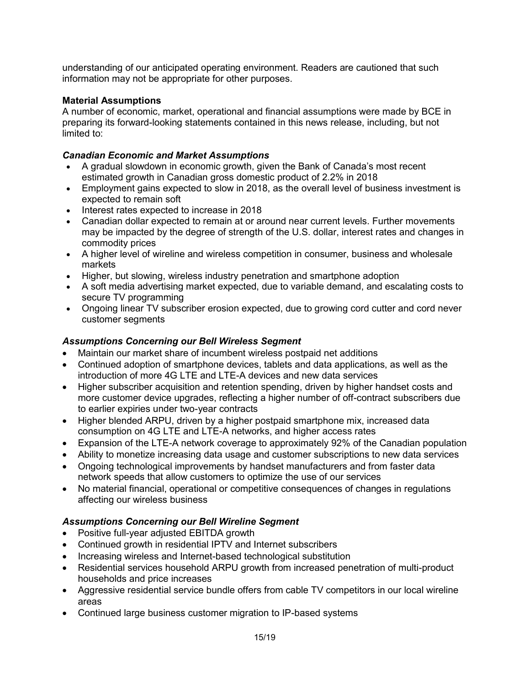understanding of our anticipated operating environment. Readers are cautioned that such information may not be appropriate for other purposes.

## **Material Assumptions**

A number of economic, market, operational and financial assumptions were made by BCE in preparing its forward-looking statements contained in this news release, including, but not limited to:

## *Canadian Economic and Market Assumptions*

- A gradual slowdown in economic growth, given the Bank of Canada's most recent estimated growth in Canadian gross domestic product of 2.2% in 2018
- Employment gains expected to slow in 2018, as the overall level of business investment is expected to remain soft
- Interest rates expected to increase in 2018
- Canadian dollar expected to remain at or around near current levels. Further movements may be impacted by the degree of strength of the U.S. dollar, interest rates and changes in commodity prices
- A higher level of wireline and wireless competition in consumer, business and wholesale markets
- Higher, but slowing, wireless industry penetration and smartphone adoption
- A soft media advertising market expected, due to variable demand, and escalating costs to secure TV programming
- Ongoing linear TV subscriber erosion expected, due to growing cord cutter and cord never customer segments

## *Assumptions Concerning our Bell Wireless Segment*

- Maintain our market share of incumbent wireless postpaid net additions
- Continued adoption of smartphone devices, tablets and data applications, as well as the introduction of more 4G LTE and LTE-A devices and new data services
- Higher subscriber acquisition and retention spending, driven by higher handset costs and more customer device upgrades, reflecting a higher number of off-contract subscribers due to earlier expiries under two-year contracts
- Higher blended ARPU, driven by a higher postpaid smartphone mix, increased data consumption on 4G LTE and LTE-A networks, and higher access rates
- Expansion of the LTE-A network coverage to approximately 92% of the Canadian population
- Ability to monetize increasing data usage and customer subscriptions to new data services
- Ongoing technological improvements by handset manufacturers and from faster data network speeds that allow customers to optimize the use of our services
- No material financial, operational or competitive consequences of changes in regulations affecting our wireless business

# *Assumptions Concerning our Bell Wireline Segment*

- Positive full-year adjusted EBITDA growth
- Continued growth in residential IPTV and Internet subscribers
- Increasing wireless and Internet-based technological substitution
- Residential services household ARPU growth from increased penetration of multi-product households and price increases
- Aggressive residential service bundle offers from cable TV competitors in our local wireline areas
- Continued large business customer migration to IP-based systems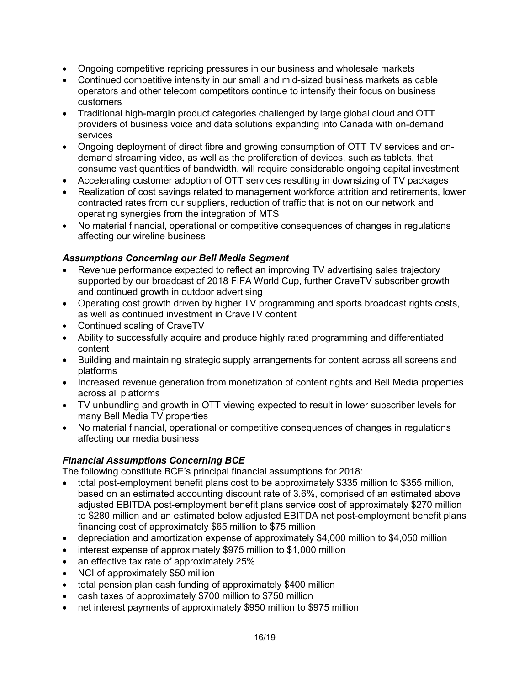- Ongoing competitive repricing pressures in our business and wholesale markets
- Continued competitive intensity in our small and mid-sized business markets as cable operators and other telecom competitors continue to intensify their focus on business customers
- Traditional high-margin product categories challenged by large global cloud and OTT providers of business voice and data solutions expanding into Canada with on-demand services
- Ongoing deployment of direct fibre and growing consumption of OTT TV services and ondemand streaming video, as well as the proliferation of devices, such as tablets, that consume vast quantities of bandwidth, will require considerable ongoing capital investment
- Accelerating customer adoption of OTT services resulting in downsizing of TV packages
- Realization of cost savings related to management workforce attrition and retirements, lower contracted rates from our suppliers, reduction of traffic that is not on our network and operating synergies from the integration of MTS
- No material financial, operational or competitive consequences of changes in regulations affecting our wireline business

## *Assumptions Concerning our Bell Media Segment*

- Revenue performance expected to reflect an improving TV advertising sales trajectory supported by our broadcast of 2018 FIFA World Cup, further CraveTV subscriber growth and continued growth in outdoor advertising
- Operating cost growth driven by higher TV programming and sports broadcast rights costs, as well as continued investment in CraveTV content
- Continued scaling of CraveTV
- Ability to successfully acquire and produce highly rated programming and differentiated content
- Building and maintaining strategic supply arrangements for content across all screens and platforms
- Increased revenue generation from monetization of content rights and Bell Media properties across all platforms
- TV unbundling and growth in OTT viewing expected to result in lower subscriber levels for many Bell Media TV properties
- No material financial, operational or competitive consequences of changes in regulations affecting our media business

# *Financial Assumptions Concerning BCE*

The following constitute BCE's principal financial assumptions for 2018:

- total post-employment benefit plans cost to be approximately \$335 million to \$355 million, based on an estimated accounting discount rate of 3.6%, comprised of an estimated above adjusted EBITDA post-employment benefit plans service cost of approximately \$270 million to \$280 million and an estimated below adjusted EBITDA net post-employment benefit plans financing cost of approximately \$65 million to \$75 million
- depreciation and amortization expense of approximately \$4,000 million to \$4,050 million
- interest expense of approximately \$975 million to \$1,000 million
- an effective tax rate of approximately 25%
- NCI of approximately \$50 million
- total pension plan cash funding of approximately \$400 million
- cash taxes of approximately \$700 million to \$750 million
- net interest payments of approximately \$950 million to \$975 million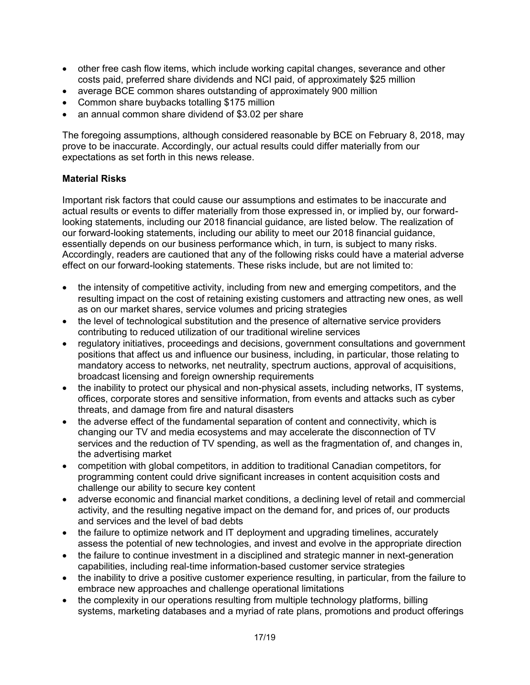- other free cash flow items, which include working capital changes, severance and other costs paid, preferred share dividends and NCI paid, of approximately \$25 million
- average BCE common shares outstanding of approximately 900 million
- Common share buybacks totalling \$175 million
- an annual common share dividend of \$3.02 per share

The foregoing assumptions, although considered reasonable by BCE on February 8, 2018, may prove to be inaccurate. Accordingly, our actual results could differ materially from our expectations as set forth in this news release.

### **Material Risks**

Important risk factors that could cause our assumptions and estimates to be inaccurate and actual results or events to differ materially from those expressed in, or implied by, our forwardlooking statements, including our 2018 financial guidance, are listed below. The realization of our forward-looking statements, including our ability to meet our 2018 financial guidance, essentially depends on our business performance which, in turn, is subject to many risks. Accordingly, readers are cautioned that any of the following risks could have a material adverse effect on our forward-looking statements. These risks include, but are not limited to:

- the intensity of competitive activity, including from new and emerging competitors, and the resulting impact on the cost of retaining existing customers and attracting new ones, as well as on our market shares, service volumes and pricing strategies
- the level of technological substitution and the presence of alternative service providers contributing to reduced utilization of our traditional wireline services
- regulatory initiatives, proceedings and decisions, government consultations and government positions that affect us and influence our business, including, in particular, those relating to mandatory access to networks, net neutrality, spectrum auctions, approval of acquisitions, broadcast licensing and foreign ownership requirements
- the inability to protect our physical and non-physical assets, including networks, IT systems, offices, corporate stores and sensitive information, from events and attacks such as cyber threats, and damage from fire and natural disasters
- the adverse effect of the fundamental separation of content and connectivity, which is changing our TV and media ecosystems and may accelerate the disconnection of TV services and the reduction of TV spending, as well as the fragmentation of, and changes in, the advertising market
- competition with global competitors, in addition to traditional Canadian competitors, for programming content could drive significant increases in content acquisition costs and challenge our ability to secure key content
- adverse economic and financial market conditions, a declining level of retail and commercial activity, and the resulting negative impact on the demand for, and prices of, our products and services and the level of bad debts
- the failure to optimize network and IT deployment and upgrading timelines, accurately assess the potential of new technologies, and invest and evolve in the appropriate direction
- the failure to continue investment in a disciplined and strategic manner in next-generation capabilities, including real-time information-based customer service strategies
- the inability to drive a positive customer experience resulting, in particular, from the failure to embrace new approaches and challenge operational limitations
- the complexity in our operations resulting from multiple technology platforms, billing systems, marketing databases and a myriad of rate plans, promotions and product offerings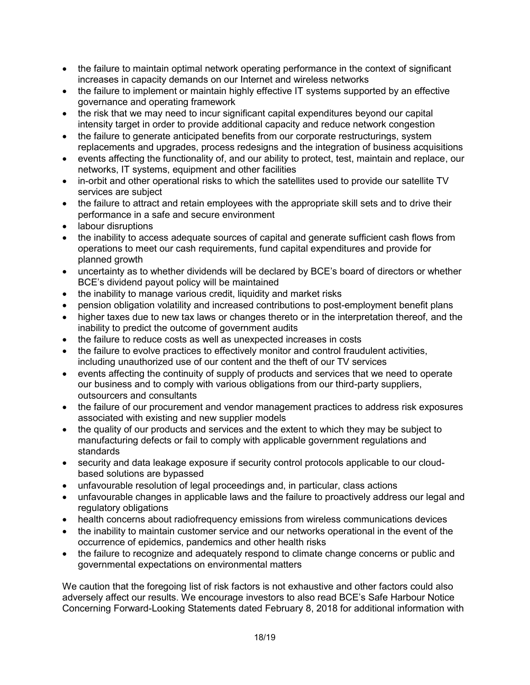- the failure to maintain optimal network operating performance in the context of significant increases in capacity demands on our Internet and wireless networks
- the failure to implement or maintain highly effective IT systems supported by an effective governance and operating framework
- the risk that we may need to incur significant capital expenditures beyond our capital intensity target in order to provide additional capacity and reduce network congestion
- the failure to generate anticipated benefits from our corporate restructurings, system replacements and upgrades, process redesigns and the integration of business acquisitions
- events affecting the functionality of, and our ability to protect, test, maintain and replace, our networks, IT systems, equipment and other facilities
- in-orbit and other operational risks to which the satellites used to provide our satellite TV services are subject
- the failure to attract and retain employees with the appropriate skill sets and to drive their performance in a safe and secure environment
- labour disruptions
- the inability to access adequate sources of capital and generate sufficient cash flows from operations to meet our cash requirements, fund capital expenditures and provide for planned growth
- uncertainty as to whether dividends will be declared by BCE's board of directors or whether BCE's dividend payout policy will be maintained
- the inability to manage various credit, liquidity and market risks
- pension obligation volatility and increased contributions to post-employment benefit plans
- higher taxes due to new tax laws or changes thereto or in the interpretation thereof, and the inability to predict the outcome of government audits
- the failure to reduce costs as well as unexpected increases in costs
- the failure to evolve practices to effectively monitor and control fraudulent activities, including unauthorized use of our content and the theft of our TV services
- events affecting the continuity of supply of products and services that we need to operate our business and to comply with various obligations from our third-party suppliers, outsourcers and consultants
- the failure of our procurement and vendor management practices to address risk exposures associated with existing and new supplier models
- the quality of our products and services and the extent to which they may be subject to manufacturing defects or fail to comply with applicable government regulations and standards
- security and data leakage exposure if security control protocols applicable to our cloudbased solutions are bypassed
- unfavourable resolution of legal proceedings and, in particular, class actions
- unfavourable changes in applicable laws and the failure to proactively address our legal and regulatory obligations
- health concerns about radiofrequency emissions from wireless communications devices
- the inability to maintain customer service and our networks operational in the event of the occurrence of epidemics, pandemics and other health risks
- the failure to recognize and adequately respond to climate change concerns or public and governmental expectations on environmental matters

We caution that the foregoing list of risk factors is not exhaustive and other factors could also adversely affect our results. We encourage investors to also read BCE's Safe Harbour Notice Concerning Forward-Looking Statements dated February 8, 2018 for additional information with